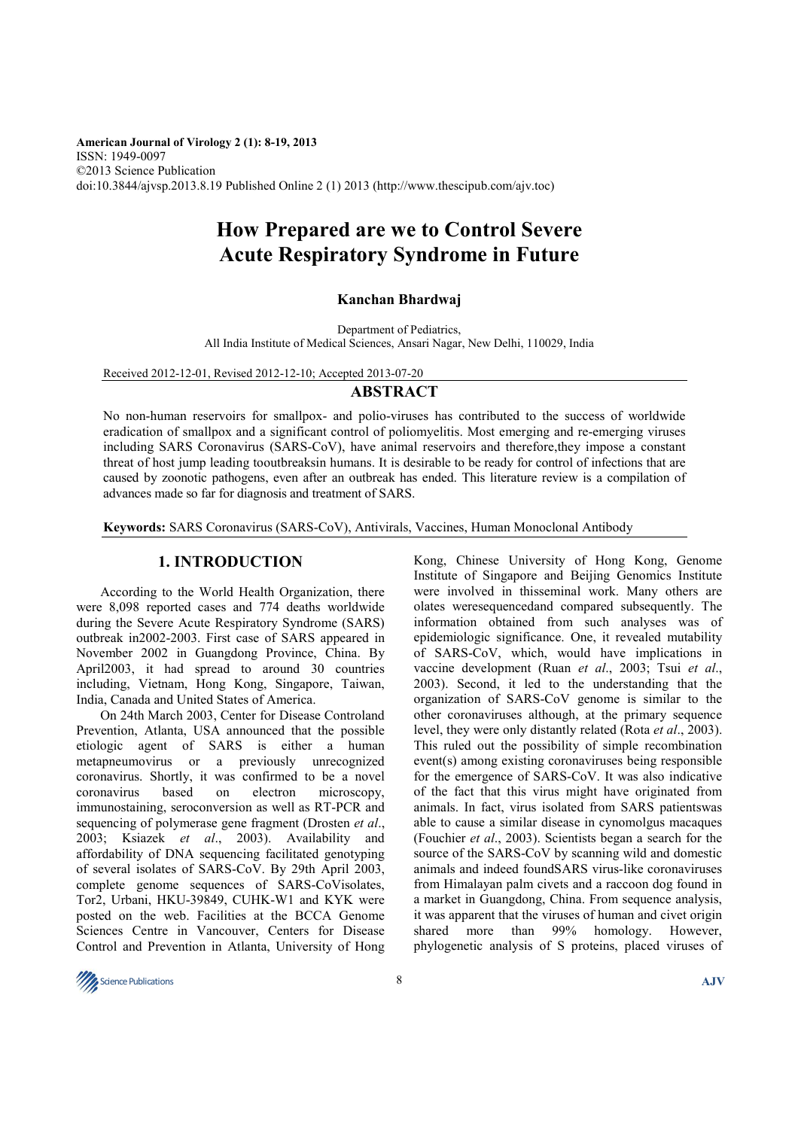**American Journal of Virology 2 (1): 8-19, 2013**  ISSN: 1949-0097 ©2013 Science Publication doi:10.3844/ajvsp.2013.8.19 Published Online 2 (1) 2013 (http://www.thescipub.com/ajv.toc)

# **How Prepared are we to Control Severe Acute Respiratory Syndrome in Future**

## **Kanchan Bhardwaj**

Department of Pediatrics, All India Institute of Medical Sciences, Ansari Nagar, New Delhi, 110029, India

Received 2012-12-01, Revised 2012-12-10; Accepted 2013-07-20

# **ABSTRACT**

No non-human reservoirs for smallpox- and polio-viruses has contributed to the success of worldwide eradication of smallpox and a significant control of poliomyelitis. Most emerging and re-emerging viruses including SARS Coronavirus (SARS-CoV), have animal reservoirs and therefore,they impose a constant threat of host jump leading tooutbreaksin humans. It is desirable to be ready for control of infections that are caused by zoonotic pathogens, even after an outbreak has ended. This literature review is a compilation of advances made so far for diagnosis and treatment of SARS.

**Keywords:** SARS Coronavirus (SARS-CoV), Antivirals, Vaccines, Human Monoclonal Antibody

# **1. INTRODUCTION**

 According to the World Health Organization, there were 8,098 reported cases and 774 deaths worldwide during the Severe Acute Respiratory Syndrome (SARS) outbreak in2002-2003. First case of SARS appeared in November 2002 in Guangdong Province, China. By April2003, it had spread to around 30 countries including, Vietnam, Hong Kong, Singapore, Taiwan, India, Canada and United States of America.

 On 24th March 2003, Center for Disease Controland Prevention, Atlanta, USA announced that the possible etiologic agent of SARS is either a human metapneumovirus or a previously unrecognized coronavirus. Shortly, it was confirmed to be a novel coronavirus based on electron microscopy, immunostaining, seroconversion as well as RT-PCR and sequencing of polymerase gene fragment (Drosten *et al*., 2003; Ksiazek *et al*., 2003). Availability and affordability of DNA sequencing facilitated genotyping of several isolates of SARS-CoV. By 29th April 2003, complete genome sequences of SARS-CoVisolates, Tor2, Urbani, HKU-39849, CUHK-W1 and KYK were posted on the web. Facilities at the BCCA Genome Sciences Centre in Vancouver, Centers for Disease Control and Prevention in Atlanta, University of Hong Kong, Chinese University of Hong Kong, Genome Institute of Singapore and Beijing Genomics Institute were involved in thisseminal work. Many others are olates weresequencedand compared subsequently. The information obtained from such analyses was of epidemiologic significance. One, it revealed mutability of SARS-CoV, which, would have implications in vaccine development (Ruan *et al*., 2003; Tsui *et al*., 2003). Second, it led to the understanding that the organization of SARS-CoV genome is similar to the other coronaviruses although, at the primary sequence level, they were only distantly related (Rota *et al*., 2003). This ruled out the possibility of simple recombination event(s) among existing coronaviruses being responsible for the emergence of SARS-CoV. It was also indicative of the fact that this virus might have originated from animals. In fact, virus isolated from SARS patientswas able to cause a similar disease in cynomolgus macaques (Fouchier *et al*., 2003). Scientists began a search for the source of the SARS-CoV by scanning wild and domestic animals and indeed foundSARS virus-like coronaviruses from Himalayan palm civets and a raccoon dog found in a market in Guangdong, China. From sequence analysis, it was apparent that the viruses of human and civet origin shared more than 99% homology. However, phylogenetic analysis of S proteins, placed viruses of

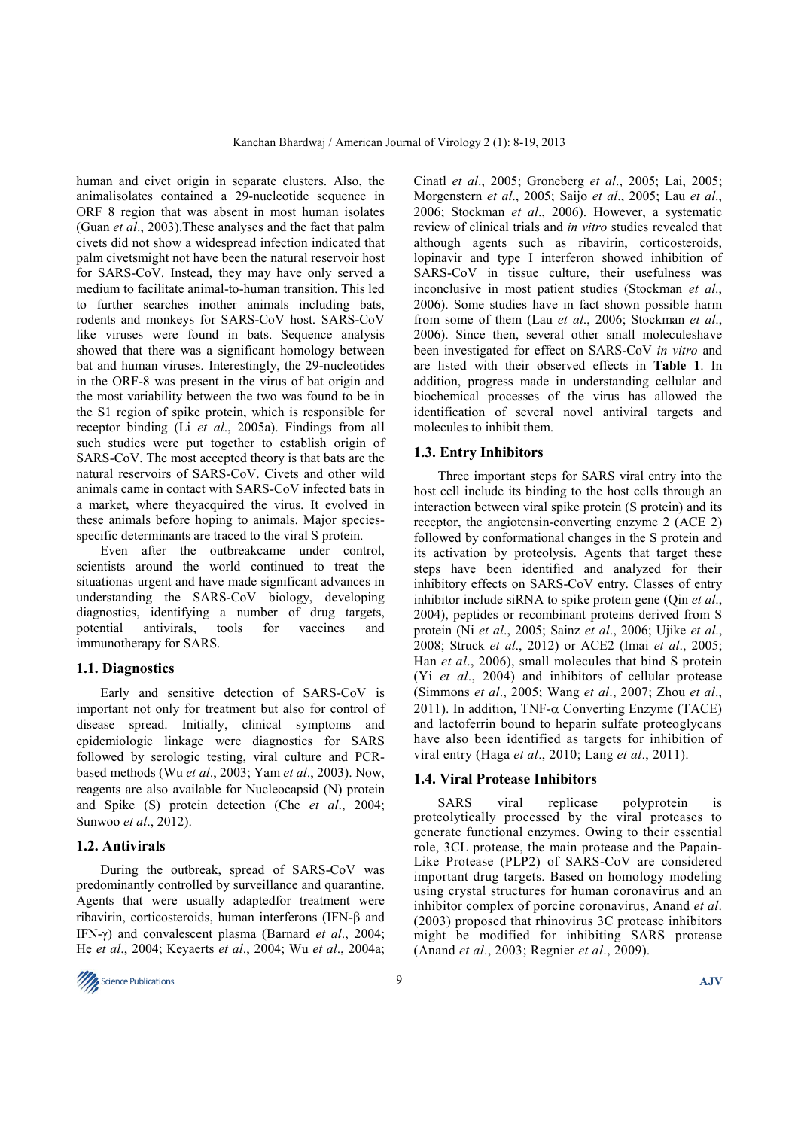human and civet origin in separate clusters. Also, the animalisolates contained a 29-nucleotide sequence in ORF 8 region that was absent in most human isolates (Guan *et al*., 2003).These analyses and the fact that palm civets did not show a widespread infection indicated that palm civetsmight not have been the natural reservoir host for SARS-CoV. Instead, they may have only served a medium to facilitate animal-to-human transition. This led to further searches inother animals including bats, rodents and monkeys for SARS-CoV host. SARS-CoV like viruses were found in bats. Sequence analysis showed that there was a significant homology between bat and human viruses. Interestingly, the 29-nucleotides in the ORF-8 was present in the virus of bat origin and the most variability between the two was found to be in the S1 region of spike protein, which is responsible for receptor binding (Li *et al*., 2005a). Findings from all such studies were put together to establish origin of SARS-CoV. The most accepted theory is that bats are the natural reservoirs of SARS-CoV. Civets and other wild animals came in contact with SARS-CoV infected bats in a market, where theyacquired the virus. It evolved in these animals before hoping to animals. Major speciesspecific determinants are traced to the viral S protein.

 Even after the outbreakcame under control, scientists around the world continued to treat the situationas urgent and have made significant advances in understanding the SARS-CoV biology, developing diagnostics, identifying a number of drug targets, potential antivirals, tools for vaccines and immunotherapy for SARS.

## **1.1. Diagnostics**

 Early and sensitive detection of SARS-CoV is important not only for treatment but also for control of disease spread. Initially, clinical symptoms and epidemiologic linkage were diagnostics for SARS followed by serologic testing, viral culture and PCRbased methods (Wu *et al*., 2003; Yam *et al*., 2003). Now, reagents are also available for Nucleocapsid (N) protein and Spike (S) protein detection (Che *et al*., 2004; Sunwoo *et al*., 2012).

## **1.2. Antivirals**

 During the outbreak, spread of SARS-CoV was predominantly controlled by surveillance and quarantine. Agents that were usually adaptedfor treatment were ribavirin, corticosteroids, human interferons (IFN-β and IFN-γ) and convalescent plasma (Barnard *et al*., 2004; He *et al*., 2004; Keyaerts *et al*., 2004; Wu *et al*., 2004a;



Cinatl *et al*., 2005; Groneberg *et al*., 2005; Lai, 2005; Morgenstern *et al*., 2005; Saijo *et al*., 2005; Lau *et al*., 2006; Stockman *et al*., 2006). However, a systematic review of clinical trials and *in vitro* studies revealed that although agents such as ribavirin, corticosteroids, lopinavir and type I interferon showed inhibition of SARS-CoV in tissue culture, their usefulness was inconclusive in most patient studies (Stockman *et al*., 2006). Some studies have in fact shown possible harm from some of them (Lau *et al*., 2006; Stockman *et al*., 2006). Since then, several other small moleculeshave been investigated for effect on SARS-CoV *in vitro* and are listed with their observed effects in **Table 1**. In addition, progress made in understanding cellular and biochemical processes of the virus has allowed the identification of several novel antiviral targets and molecules to inhibit them.

## **1.3. Entry Inhibitors**

 Three important steps for SARS viral entry into the host cell include its binding to the host cells through an interaction between viral spike protein (S protein) and its receptor, the angiotensin-converting enzyme 2 (ACE 2) followed by conformational changes in the S protein and its activation by proteolysis. Agents that target these steps have been identified and analyzed for their inhibitory effects on SARS-CoV entry. Classes of entry inhibitor include siRNA to spike protein gene (Qin *et al*., 2004), peptides or recombinant proteins derived from S protein (Ni *et al*., 2005; Sainz *et al*., 2006; Ujike *et al*., 2008; Struck *et al*., 2012) or ACE2 (Imai *et al*., 2005; Han *et al*., 2006), small molecules that bind S protein (Yi *et al*., 2004) and inhibitors of cellular protease (Simmons *et al*., 2005; Wang *et al*., 2007; Zhou *et al*., 2011). In addition, TNF- $\alpha$  Converting Enzyme (TACE) and lactoferrin bound to heparin sulfate proteoglycans have also been identified as targets for inhibition of viral entry (Haga *et al*., 2010; Lang *et al*., 2011).

#### **1.4. Viral Protease Inhibitors**

 SARS viral replicase polyprotein is proteolytically processed by the viral proteases to generate functional enzymes. Owing to their essential role, 3CL protease, the main protease and the Papain-Like Protease (PLP2) of SARS-CoV are considered important drug targets. Based on homology modeling using crystal structures for human coronavirus and an inhibitor complex of porcine coronavirus, Anand *et al*. (2003) proposed that rhinovirus 3C protease inhibitors might be modified for inhibiting SARS protease (Anand *et al*., 2003; Regnier *et al*., 2009).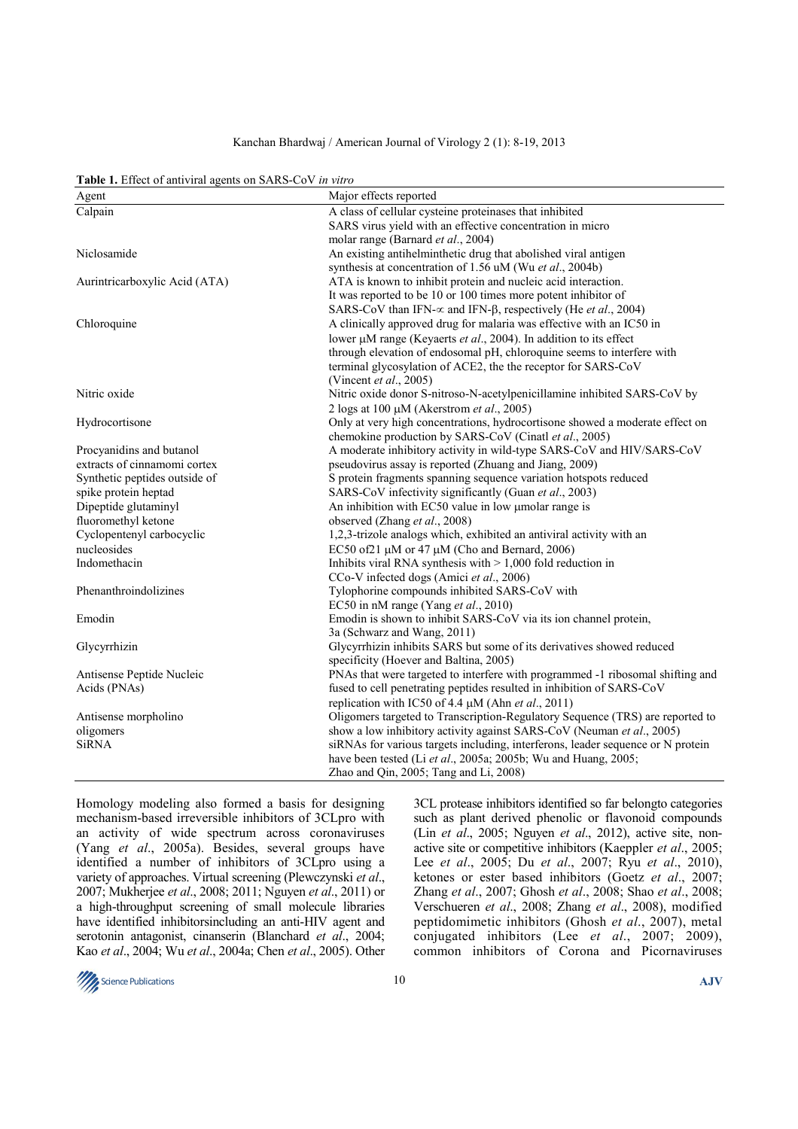#### Kanchan Bhardwaj / American Journal of Virology 2 (1): 8-19, 2013

| Table 1. Effect of antiviral agents on SARS-CoV in vitro |  |  |  |
|----------------------------------------------------------|--|--|--|
|----------------------------------------------------------|--|--|--|

| Agent                         | Major effects reported                                                          |  |
|-------------------------------|---------------------------------------------------------------------------------|--|
| Calpain                       | A class of cellular cysteine proteinases that inhibited                         |  |
|                               | SARS virus yield with an effective concentration in micro                       |  |
|                               | molar range (Barnard et al., 2004)                                              |  |
| Niclosamide                   | An existing antihelminthetic drug that abolished viral antigen                  |  |
|                               | synthesis at concentration of 1.56 uM (Wu et al., 2004b)                        |  |
| Aurintricarboxylic Acid (ATA) | ATA is known to inhibit protein and nucleic acid interaction.                   |  |
|                               | It was reported to be 10 or 100 times more potent inhibitor of                  |  |
|                               | SARS-CoV than IFN- $\propto$ and IFN- $\beta$ , respectively (He et al., 2004)  |  |
| Chloroquine                   | A clinically approved drug for malaria was effective with an IC50 in            |  |
|                               | lower µM range (Keyaerts et al., 2004). In addition to its effect               |  |
|                               | through elevation of endosomal pH, chloroquine seems to interfere with          |  |
|                               | terminal glycosylation of ACE2, the the receptor for SARS-CoV                   |  |
|                               | (Vincent et al., 2005)                                                          |  |
| Nitric oxide                  | Nitric oxide donor S-nitroso-N-acetylpenicillamine inhibited SARS-CoV by        |  |
|                               | 2 logs at 100 $\mu$ M (Akerstrom et al., 2005)                                  |  |
| Hydrocortisone                | Only at very high concentrations, hydrocortisone showed a moderate effect on    |  |
|                               | chemokine production by SARS-CoV (Cinatl et al., 2005)                          |  |
| Procyanidins and butanol      | A moderate inhibitory activity in wild-type SARS-CoV and HIV/SARS-CoV           |  |
| extracts of cinnamomi cortex  | pseudovirus assay is reported (Zhuang and Jiang, 2009)                          |  |
| Synthetic peptides outside of | S protein fragments spanning sequence variation hotspots reduced                |  |
| spike protein heptad          | SARS-CoV infectivity significantly (Guan et al., 2003)                          |  |
| Dipeptide glutaminyl          | An inhibition with EC50 value in low umolar range is                            |  |
| fluoromethyl ketone           | observed (Zhang et al., 2008)                                                   |  |
| Cyclopentenyl carbocyclic     | 1,2,3-trizole analogs which, exhibited an antiviral activity with an            |  |
| nucleosides                   | EC50 of 21 µM or 47 µM (Cho and Bernard, 2006)                                  |  |
| Indomethacin                  | Inhibits viral RNA synthesis with $> 1,000$ fold reduction in                   |  |
|                               | CCo-V infected dogs (Amici et al., 2006)                                        |  |
| Phenanthroindolizines         | Tylophorine compounds inhibited SARS-CoV with                                   |  |
|                               | EC50 in nM range (Yang et al., 2010)                                            |  |
| Emodin                        | Emodin is shown to inhibit SARS-CoV via its ion channel protein,                |  |
|                               | 3a (Schwarz and Wang, 2011)                                                     |  |
| Glycyrrhizin                  | Glycyrrhizin inhibits SARS but some of its derivatives showed reduced           |  |
|                               | specificity (Hoever and Baltina, 2005)                                          |  |
| Antisense Peptide Nucleic     | PNAs that were targeted to interfere with programmed -1 ribosomal shifting and  |  |
| Acids (PNAs)                  | fused to cell penetrating peptides resulted in inhibition of SARS-CoV           |  |
|                               | replication with IC50 of 4.4 µM (Ahn et al., 2011)                              |  |
| Antisense morpholino          | Oligomers targeted to Transcription-Regulatory Sequence (TRS) are reported to   |  |
| oligomers                     | show a low inhibitory activity against SARS-CoV (Neuman et al., 2005)           |  |
| <b>SiRNA</b>                  | siRNAs for various targets including, interferons, leader sequence or N protein |  |
|                               | have been tested (Li et al., 2005a; 2005b; Wu and Huang, 2005;                  |  |
|                               | Zhao and Qin, 2005; Tang and Li, 2008)                                          |  |

Homology modeling also formed a basis for designing mechanism-based irreversible inhibitors of 3CLpro with an activity of wide spectrum across coronaviruses (Yang *et al*., 2005a). Besides, several groups have identified a number of inhibitors of 3CLpro using a variety of approaches. Virtual screening (Plewczynski *et al*., 2007; Mukherjee *et al*., 2008; 2011; Nguyen *et al*., 2011) or a high-throughput screening of small molecule libraries have identified inhibitorsincluding an anti-HIV agent and serotonin antagonist, cinanserin (Blanchard *et al*., 2004; Kao *et al*., 2004; Wu *et al*., 2004a; Chen *et al*., 2005). Other

3CL protease inhibitors identified so far belongto categories such as plant derived phenolic or flavonoid compounds (Lin *et al*., 2005; Nguyen *et al*., 2012), active site, nonactive site or competitive inhibitors (Kaeppler *et al*., 2005; Lee *et al*., 2005; Du *et al*., 2007; Ryu *et al*., 2010), ketones or ester based inhibitors (Goetz *et al*., 2007; Zhang *et al*., 2007; Ghosh *et al*., 2008; Shao *et al*., 2008; Verschueren *et al*., 2008; Zhang *et al*., 2008), modified peptidomimetic inhibitors (Ghosh *et al*., 2007), metal conjugated inhibitors (Lee *et al*., 2007; 2009), common inhibitors of Corona and Picornaviruses

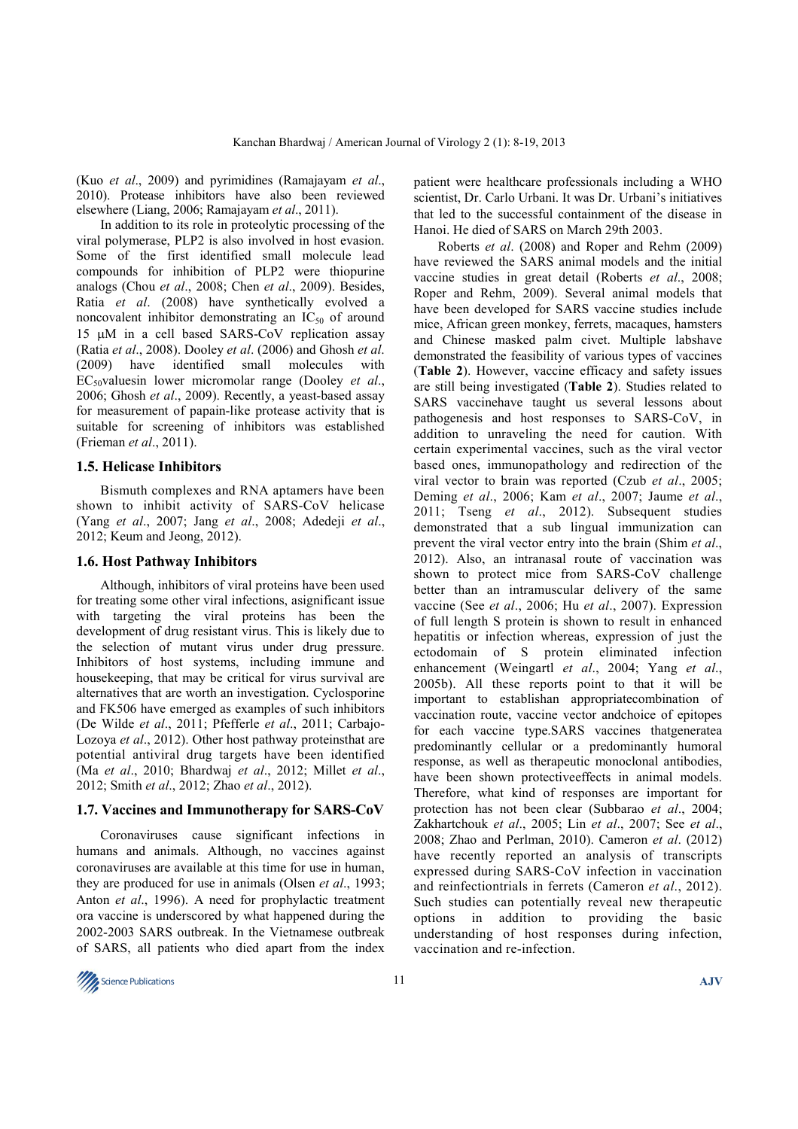(Kuo *et al*., 2009) and pyrimidines (Ramajayam *et al*., 2010). Protease inhibitors have also been reviewed elsewhere (Liang, 2006; Ramajayam *et al*., 2011).

 In addition to its role in proteolytic processing of the viral polymerase, PLP2 is also involved in host evasion. Some of the first identified small molecule lead compounds for inhibition of PLP2 were thiopurine analogs (Chou *et al*., 2008; Chen *et al*., 2009). Besides, Ratia *et al*. (2008) have synthetically evolved a noncovalent inhibitor demonstrating an  $IC_{50}$  of around 15 µM in a cell based SARS-CoV replication assay (Ratia *et al*., 2008). Dooley *et al*. (2006) and Ghosh *et al*. (2009) have identified small molecules with EC50valuesin lower micromolar range (Dooley *et al*., 2006; Ghosh *et al*., 2009). Recently, a yeast-based assay for measurement of papain-like protease activity that is suitable for screening of inhibitors was established (Frieman *et al*., 2011).

## **1.5. Helicase Inhibitors**

 Bismuth complexes and RNA aptamers have been shown to inhibit activity of SARS-CoV helicase (Yang *et al*., 2007; Jang *et al*., 2008; Adedeji *et al*., 2012; Keum and Jeong, 2012).

#### **1.6. Host Pathway Inhibitors**

 Although, inhibitors of viral proteins have been used for treating some other viral infections, asignificant issue with targeting the viral proteins has been the development of drug resistant virus. This is likely due to the selection of mutant virus under drug pressure. Inhibitors of host systems, including immune and housekeeping, that may be critical for virus survival are alternatives that are worth an investigation. Cyclosporine and FK506 have emerged as examples of such inhibitors (De Wilde *et al*., 2011; Pfefferle *et al*., 2011; Carbajo-Lozoya *et al*., 2012). Other host pathway proteinsthat are potential antiviral drug targets have been identified (Ma *et al*., 2010; Bhardwaj *et al*., 2012; Millet *et al*., 2012; Smith *et al*., 2012; Zhao *et al*., 2012).

#### **1.7. Vaccines and Immunotherapy for SARS-CoV**

 Coronaviruses cause significant infections in humans and animals. Although, no vaccines against coronaviruses are available at this time for use in human, they are produced for use in animals (Olsen *et al*., 1993; Anton *et al*., 1996). A need for prophylactic treatment ora vaccine is underscored by what happened during the 2002-2003 SARS outbreak. In the Vietnamese outbreak of SARS, all patients who died apart from the index patient were healthcare professionals including a WHO scientist, Dr. Carlo Urbani. It was Dr. Urbani's initiatives that led to the successful containment of the disease in Hanoi. He died of SARS on March 29th 2003.

 Roberts *et al*. (2008) and Roper and Rehm (2009) have reviewed the SARS animal models and the initial vaccine studies in great detail (Roberts *et al*., 2008; Roper and Rehm, 2009). Several animal models that have been developed for SARS vaccine studies include mice, African green monkey, ferrets, macaques, hamsters and Chinese masked palm civet. Multiple labshave demonstrated the feasibility of various types of vaccines (**Table 2**). However, vaccine efficacy and safety issues are still being investigated (**Table 2**). Studies related to SARS vaccinehave taught us several lessons about pathogenesis and host responses to SARS-CoV, in addition to unraveling the need for caution. With certain experimental vaccines, such as the viral vector based ones, immunopathology and redirection of the viral vector to brain was reported (Czub *et al*., 2005; Deming *et al*., 2006; Kam *et al*., 2007; Jaume *et al*., 2011; Tseng *et al*., 2012). Subsequent studies demonstrated that a sub lingual immunization can prevent the viral vector entry into the brain (Shim *et al*., 2012). Also, an intranasal route of vaccination was shown to protect mice from SARS-CoV challenge better than an intramuscular delivery of the same vaccine (See *et al*., 2006; Hu *et al*., 2007). Expression of full length S protein is shown to result in enhanced hepatitis or infection whereas, expression of just the ectodomain of S protein eliminated infection enhancement (Weingartl *et al*., 2004; Yang *et al*., 2005b). All these reports point to that it will be important to establishan appropriatecombination of vaccination route, vaccine vector andchoice of epitopes for each vaccine type.SARS vaccines thatgeneratea predominantly cellular or a predominantly humoral response, as well as therapeutic monoclonal antibodies, have been shown protectiveeffects in animal models. Therefore, what kind of responses are important for protection has not been clear (Subbarao *et al*., 2004; Zakhartchouk *et al*., 2005; Lin *et al*., 2007; See *et al*., 2008; Zhao and Perlman, 2010). Cameron *et al*. (2012) have recently reported an analysis of transcripts expressed during SARS-CoV infection in vaccination and reinfectiontrials in ferrets (Cameron *et al*., 2012). Such studies can potentially reveal new therapeutic options in addition to providing the basic understanding of host responses during infection, vaccination and re-infection.

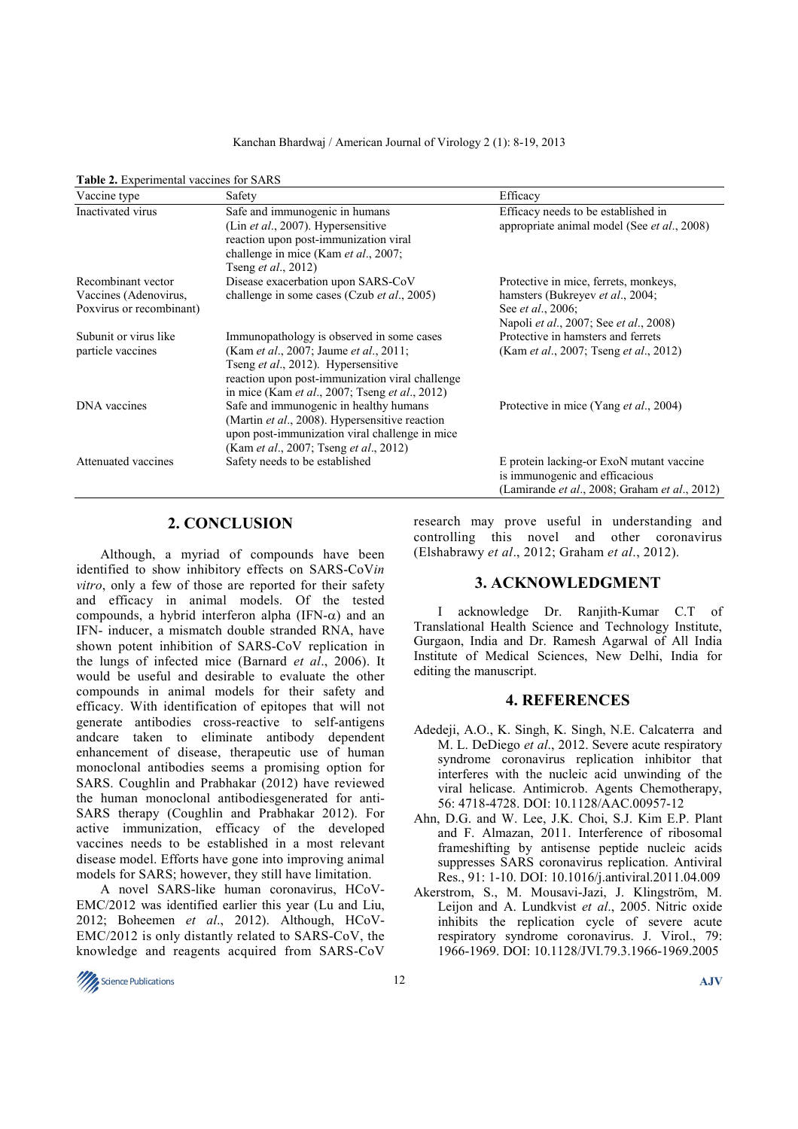#### Kanchan Bhardwaj / American Journal of Virology 2 (1): 8-19, 2013

| Vaccine type                                                            | Safety                                                                                                                                                                                                                                                          | Efficacy                                                                                                                                         |
|-------------------------------------------------------------------------|-----------------------------------------------------------------------------------------------------------------------------------------------------------------------------------------------------------------------------------------------------------------|--------------------------------------------------------------------------------------------------------------------------------------------------|
| Inactivated virus                                                       | Safe and immunogenic in humans<br>(Lin <i>et al.</i> , 2007). Hypersensitive<br>reaction upon post-immunization viral<br>challenge in mice (Kam <i>et al.</i> , 2007;<br>Tseng <i>et al.</i> , 2012)                                                            | Efficacy needs to be established in<br>appropriate animal model (See <i>et al.</i> , 2008)                                                       |
| Recombinant vector<br>Vaccines (Adenovirus,<br>Poxvirus or recombinant) | Disease exacerbation upon SARS-CoV<br>challenge in some cases (Czub <i>et al.</i> , 2005)                                                                                                                                                                       | Protective in mice, ferrets, monkeys,<br>hamsters (Bukreyev et al., 2004;<br>See <i>et al.</i> , 2006;<br>Napoli et al., 2007; See et al., 2008) |
| Subunit or virus like<br>particle vaccines                              | Immunopathology is observed in some cases<br>(Kam <i>et al.</i> , 2007; Jaume <i>et al.</i> , 2011;<br>Tseng et al., 2012). Hypersensitive<br>reaction upon post-immunization viral challenge<br>in mice (Kam <i>et al.</i> , 2007; Tseng <i>et al.</i> , 2012) | Protective in hamsters and ferrets<br>(Kam <i>et al.</i> , 2007; Tseng <i>et al.</i> , 2012)                                                     |
| DNA vaccines                                                            | Safe and immunogenic in healthy humans<br>(Martin et al., 2008). Hypersensitive reaction<br>upon post-immunization viral challenge in mice<br>(Kam <i>et al.</i> , 2007; Tseng <i>et al.</i> , 2012)                                                            | Protective in mice (Yang <i>et al.</i> , 2004)                                                                                                   |
| Attenuated vaccines                                                     | Safety needs to be established                                                                                                                                                                                                                                  | E protein lacking-or ExoN mutant vaccine<br>is immunogenic and efficacious<br>(Lamirande <i>et al.</i> , 2008; Graham <i>et al.</i> , 2012)      |

# Table 2. Experimental vaccines for SARS

# **2. CONCLUSION**

 Although, a myriad of compounds have been identified to show inhibitory effects on SARS-CoV*in vitro*, only a few of those are reported for their safety and efficacy in animal models. Of the tested compounds, a hybrid interferon alpha (IFN- $\alpha$ ) and an IFN- inducer, a mismatch double stranded RNA, have shown potent inhibition of SARS-CoV replication in the lungs of infected mice (Barnard *et al*., 2006). It would be useful and desirable to evaluate the other compounds in animal models for their safety and efficacy. With identification of epitopes that will not generate antibodies cross-reactive to self-antigens andcare taken to eliminate antibody dependent enhancement of disease, therapeutic use of human monoclonal antibodies seems a promising option for SARS. Coughlin and Prabhakar (2012) have reviewed the human monoclonal antibodiesgenerated for anti-SARS therapy (Coughlin and Prabhakar 2012). For active immunization, efficacy of the developed vaccines needs to be established in a most relevant disease model. Efforts have gone into improving animal models for SARS; however, they still have limitation.

 A novel SARS-like human coronavirus, HCoV-EMC/2012 was identified earlier this year (Lu and Liu, 2012; Boheemen *et al*., 2012). Although, HCoV-EMC/2012 is only distantly related to SARS-CoV, the knowledge and reagents acquired from SARS-CoV

research may prove useful in understanding and controlling this novel and other coronavirus (Elshabrawy *et al*., 2012; Graham *et al*., 2012).

## **3. ACKNOWLEDGMENT**

 I acknowledge Dr. Ranjith-Kumar C.T of Translational Health Science and Technology Institute, Gurgaon, India and Dr. Ramesh Agarwal of All India Institute of Medical Sciences, New Delhi, India for editing the manuscript.

#### **4. REFERENCES**

- Adedeji, A.O., K. Singh, K. Singh, N.E. Calcaterra and M. L. DeDiego *et al*., 2012. Severe acute respiratory syndrome coronavirus replication inhibitor that interferes with the nucleic acid unwinding of the viral helicase. Antimicrob. Agents Chemotherapy, 56: 4718-4728. DOI: 10.1128/AAC.00957-12
- Ahn, D.G. and W. Lee, J.K. Choi, S.J. Kim E.P. Plant and F. Almazan, 2011. Interference of ribosomal frameshifting by antisense peptide nucleic acids suppresses SARS coronavirus replication. Antiviral Res., 91: 1-10. DOI: 10.1016/j.antiviral.2011.04.009
- Akerstrom, S., M. Mousavi-Jazi, J. Klingström, M. Leijon and A. Lundkvist *et al*., 2005. Nitric oxide inhibits the replication cycle of severe acute respiratory syndrome coronavirus. J. Virol., 79: 1966-1969. DOI: 10.1128/JVI.79.3.1966-1969.2005

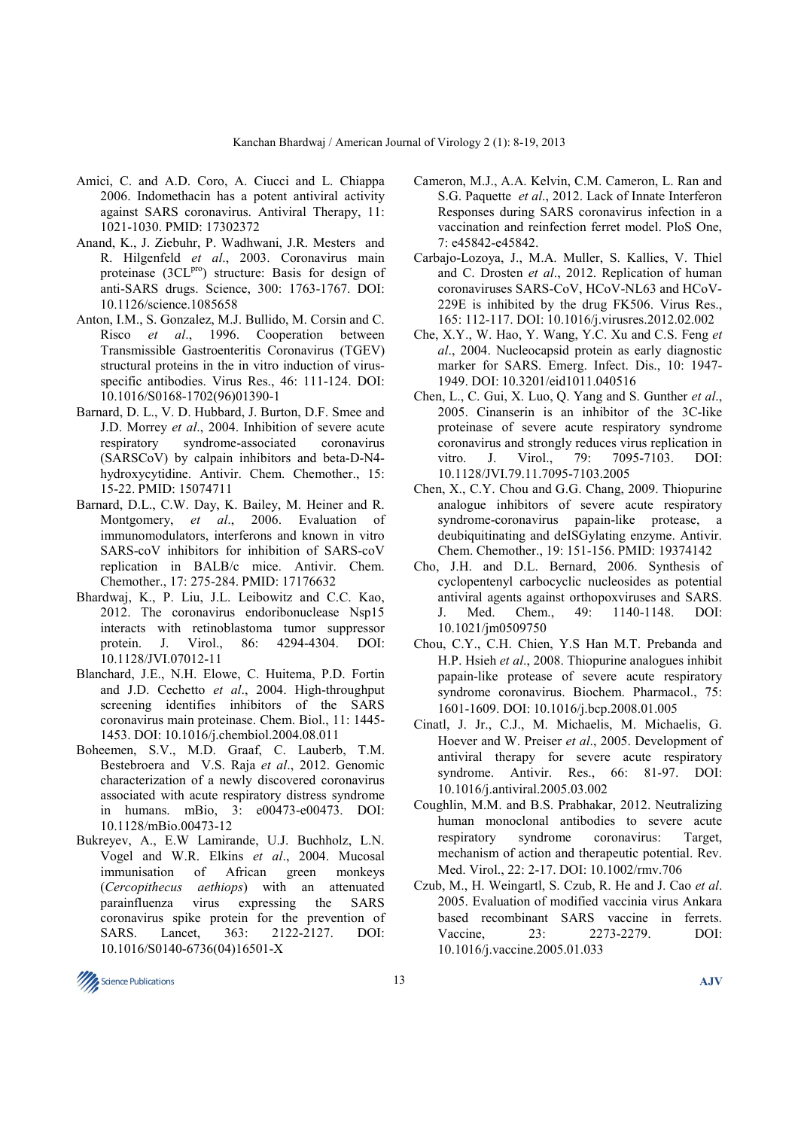- Amici, C. and A.D. Coro, A. Ciucci and L. Chiappa 2006. Indomethacin has a potent antiviral activity against SARS coronavirus. Antiviral Therapy, 11: 1021-1030. PMID: 17302372
- Anand, K., J. Ziebuhr, P. Wadhwani, J.R. Mesters and R. Hilgenfeld *et al*., 2003. Coronavirus main proteinase (3CL<sup>pro</sup>) structure: Basis for design of anti-SARS drugs. Science, 300: 1763-1767. DOI: 10.1126/science.1085658
- Anton, I.M., S. Gonzalez, M.J. Bullido, M. Corsin and C. Risco *et al*., 1996. Cooperation between Transmissible Gastroenteritis Coronavirus (TGEV) structural proteins in the in vitro induction of virusspecific antibodies. Virus Res., 46: 111-124. DOI: 10.1016/S0168-1702(96)01390-1
- Barnard, D. L., V. D. Hubbard, J. Burton, D.F. Smee and J.D. Morrey *et al*., 2004. Inhibition of severe acute respiratory syndrome-associated coronavirus (SARSCoV) by calpain inhibitors and beta-D-N4 hydroxycytidine. Antivir. Chem. Chemother., 15: 15-22. PMID: 15074711
- Barnard, D.L., C.W. Day, K. Bailey, M. Heiner and R. Montgomery, *et al*., 2006. Evaluation of immunomodulators, interferons and known in vitro SARS-coV inhibitors for inhibition of SARS-coV replication in BALB/c mice. Antivir. Chem. Chemother., 17: 275-284. PMID: 17176632
- Bhardwaj, K., P. Liu, J.L. Leibowitz and C.C. Kao, 2012. The coronavirus endoribonuclease Nsp15 interacts with retinoblastoma tumor suppressor protein. J. Virol., 86: 4294-4304. DOI: 10.1128/JVI.07012-11
- Blanchard, J.E., N.H. Elowe, C. Huitema, P.D. Fortin and J.D. Cechetto *et al*., 2004. High-throughput screening identifies inhibitors of the SARS coronavirus main proteinase. Chem. Biol., 11: 1445- 1453. DOI: 10.1016/j.chembiol.2004.08.011
- Boheemen, S.V., M.D. Graaf, C. Lauberb, T.M. Bestebroera and V.S. Raja *et al*., 2012. Genomic characterization of a newly discovered coronavirus associated with acute respiratory distress syndrome in humans. mBio, 3: e00473-e00473. DOI: 10.1128/mBio.00473-12
- Bukreyev, A., E.W Lamirande, U.J. Buchholz, L.N. Vogel and W.R. Elkins *et al*., 2004. Mucosal immunisation of African green monkeys (*Cercopithecus aethiops*) with an attenuated parainfluenza virus expressing the SARS coronavirus spike protein for the prevention of SARS. Lancet, 363: 2122-2127. DOI: 10.1016/S0140-6736(04)16501-X
- Cameron, M.J., A.A. Kelvin, C.M. Cameron, L. Ran and S.G. Paquette *et al*., 2012. Lack of Innate Interferon Responses during SARS coronavirus infection in a vaccination and reinfection ferret model. PloS One, 7: e45842-e45842.
- Carbajo-Lozoya, J., M.A. Muller, S. Kallies, V. Thiel and C. Drosten *et al*., 2012. Replication of human coronaviruses SARS-CoV, HCoV-NL63 and HCoV-229E is inhibited by the drug FK506. Virus Res., 165: 112-117. DOI: 10.1016/j.virusres.2012.02.002
- Che, X.Y., W. Hao, Y. Wang, Y.C. Xu and C.S. Feng *et al*., 2004. Nucleocapsid protein as early diagnostic marker for SARS. Emerg. Infect. Dis., 10: 1947- 1949. DOI: 10.3201/eid1011.040516
- Chen, L., C. Gui, X. Luo, Q. Yang and S. Gunther *et al*., 2005. Cinanserin is an inhibitor of the 3C-like proteinase of severe acute respiratory syndrome coronavirus and strongly reduces virus replication in vitro. J. Virol., 79: 7095-7103. DOI: 10.1128/JVI.79.11.7095-7103.2005
- Chen, X., C.Y. Chou and G.G. Chang, 2009. Thiopurine analogue inhibitors of severe acute respiratory syndrome-coronavirus papain-like protease, a deubiquitinating and deISGylating enzyme. Antivir. Chem. Chemother., 19: 151-156. PMID: 19374142
- Cho, J.H. and D.L. Bernard, 2006. Synthesis of cyclopentenyl carbocyclic nucleosides as potential antiviral agents against orthopoxviruses and SARS. J. Med. Chem., 49: 1140-1148. DOI: 10.1021/jm0509750
- Chou, C.Y., C.H. Chien, Y.S Han M.T. Prebanda and H.P. Hsieh *et al*., 2008. Thiopurine analogues inhibit papain-like protease of severe acute respiratory syndrome coronavirus. Biochem. Pharmacol., 75: 1601-1609. DOI: 10.1016/j.bcp.2008.01.005
- Cinatl, J. Jr., C.J., M. Michaelis, M. Michaelis, G. Hoever and W. Preiser *et al*., 2005. Development of antiviral therapy for severe acute respiratory syndrome. Antivir. Res., 66: 81-97. DOI: 10.1016/j.antiviral.2005.03.002
- Coughlin, M.M. and B.S. Prabhakar, 2012. Neutralizing human monoclonal antibodies to severe acute respiratory syndrome coronavirus: Target, mechanism of action and therapeutic potential. Rev. Med. Virol., 22: 2-17. DOI: 10.1002/rmv.706
- Czub, M., H. Weingartl, S. Czub, R. He and J. Cao *et al*. 2005. Evaluation of modified vaccinia virus Ankara based recombinant SARS vaccine in ferrets. Vaccine, 23: 2273-2279. DOI: 10.1016/j.vaccine.2005.01.033

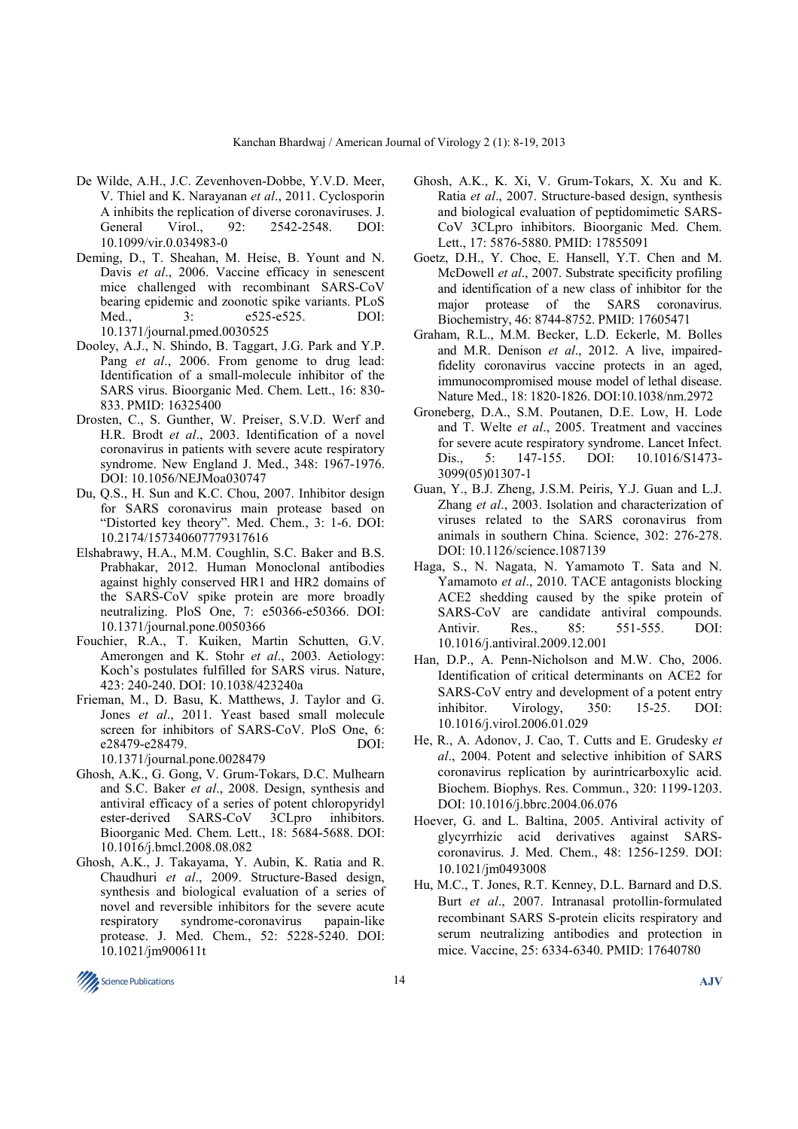- De Wilde, A.H., J.C. Zevenhoven-Dobbe, Y.V.D. Meer, V. Thiel and K. Narayanan *et al*., 2011. Cyclosporin A inhibits the replication of diverse coronaviruses. J.<br>General Virol  $92 \cdot 2542 - 2548$  DOI: General Virol., 92: 2542-2548. 10.1099/vir.0.034983-0
- Deming, D., T. Sheahan, M. Heise, B. Yount and N. Davis *et al*., 2006. Vaccine efficacy in senescent mice challenged with recombinant SARS-CoV bearing epidemic and zoonotic spike variants. PLoS Med., 3: e525-e525. DOI: 10.1371/journal.pmed.0030525
- Dooley, A.J., N. Shindo, B. Taggart, J.G. Park and Y.P. Pang *et al.*, 2006. From genome to drug lead: Identification of a small-molecule inhibitor of the SARS virus. Bioorganic Med. Chem. Lett., 16: 830- 833. PMID: 16325400
- Drosten, C., S. Gunther, W. Preiser, S.V.D. Werf and H.R. Brodt *et al*., 2003. Identification of a novel coronavirus in patients with severe acute respiratory syndrome. New England J. Med., 348: 1967-1976. DOI: 10.1056/NEJMoa030747
- Du, Q.S., H. Sun and K.C. Chou, 2007. Inhibitor design for SARS coronavirus main protease based on "Distorted key theory". Med. Chem., 3: 1-6. DOI: 10.2174/157340607779317616
- Elshabrawy, H.A., M.M. Coughlin, S.C. Baker and B.S. Prabhakar, 2012. Human Monoclonal antibodies against highly conserved HR1 and HR2 domains of the SARS-CoV spike protein are more broadly neutralizing. PloS One, 7: e50366-e50366. DOI: 10.1371/journal.pone.0050366
- Fouchier, R.A., T. Kuiken, Martin Schutten, G.V. Amerongen and K. Stohr *et al*., 2003. Aetiology: Koch's postulates fulfilled for SARS virus. Nature, 423: 240-240. DOI: 10.1038/423240a
- Frieman, M., D. Basu, K. Matthews, J. Taylor and G. Jones *et al*., 2011. Yeast based small molecule screen for inhibitors of SARS-CoV. PloS One, 6: e28479-e28479. DOI: 10.1371/journal.pone.0028479
- Ghosh, A.K., G. Gong, V. Grum-Tokars, D.C. Mulhearn and S.C. Baker *et al*., 2008. Design, synthesis and antiviral efficacy of a series of potent chloropyridyl ester-derived SARS-CoV 3CLpro inhibitors. Bioorganic Med. Chem. Lett., 18: 5684-5688. DOI: 10.1016/j.bmcl.2008.08.082
- Ghosh, A.K., J. Takayama, Y. Aubin, K. Ratia and R. Chaudhuri *et al*., 2009. Structure-Based design, synthesis and biological evaluation of a series of novel and reversible inhibitors for the severe acute respiratory syndrome-coronavirus papain-like protease. J. Med. Chem., 52: 5228-5240. DOI: 10.1021/jm900611t
- Ghosh, A.K., K. Xi, V. Grum-Tokars, X. Xu and K. Ratia *et al*., 2007. Structure-based design, synthesis and biological evaluation of peptidomimetic SARS-CoV 3CLpro inhibitors. Bioorganic Med. Chem. Lett., 17: 5876-5880. PMID: 17855091
- Goetz, D.H., Y. Choe, E. Hansell, Y.T. Chen and M. McDowell *et al*., 2007. Substrate specificity profiling and identification of a new class of inhibitor for the major protease of the SARS coronavirus. Biochemistry, 46: 8744-8752. PMID: 17605471
- Graham, R.L., M.M. Becker, L.D. Eckerle, M. Bolles and M.R. Denison *et al*., 2012. A live, impairedfidelity coronavirus vaccine protects in an aged, immunocompromised mouse model of lethal disease. Nature Med., 18: 1820-1826. DOI:10.1038/nm.2972
- Groneberg, D.A., S.M. Poutanen, D.E. Low, H. Lode and T. Welte *et al*., 2005. Treatment and vaccines for severe acute respiratory syndrome. Lancet Infect. Dis., 5: 147-155. DOI: 10.1016/S1473-3099(05)01307-1
- Guan, Y., B.J. Zheng, J.S.M. Peiris, Y.J. Guan and L.J. Zhang *et al*., 2003. Isolation and characterization of viruses related to the SARS coronavirus from animals in southern China. Science, 302: 276-278. DOI: 10.1126/science.1087139
- Haga, S., N. Nagata, N. Yamamoto T. Sata and N. Yamamoto *et al*., 2010. TACE antagonists blocking ACE2 shedding caused by the spike protein of SARS-CoV are candidate antiviral compounds. Antivir. Res., 85: 551-555. DOI: 10.1016/j.antiviral.2009.12.001
- Han, D.P., A. Penn-Nicholson and M.W. Cho, 2006. Identification of critical determinants on ACE2 for SARS-CoV entry and development of a potent entry inhibitor. Virology, 350: 15-25. DOI: 10.1016/j.virol.2006.01.029
- He, R., A. Adonov, J. Cao, T. Cutts and E. Grudesky *et al*., 2004. Potent and selective inhibition of SARS coronavirus replication by aurintricarboxylic acid. Biochem. Biophys. Res. Commun., 320: 1199-1203. DOI: 10.1016/j.bbrc.2004.06.076
- Hoever, G. and L. Baltina, 2005. Antiviral activity of glycyrrhizic acid derivatives against SARScoronavirus. J. Med. Chem., 48: 1256-1259. DOI: 10.1021/jm0493008
- Hu, M.C., T. Jones, R.T. Kenney, D.L. Barnard and D.S. Burt *et al*., 2007. Intranasal protollin-formulated recombinant SARS S-protein elicits respiratory and serum neutralizing antibodies and protection in mice. Vaccine, 25: 6334-6340. PMID: 17640780

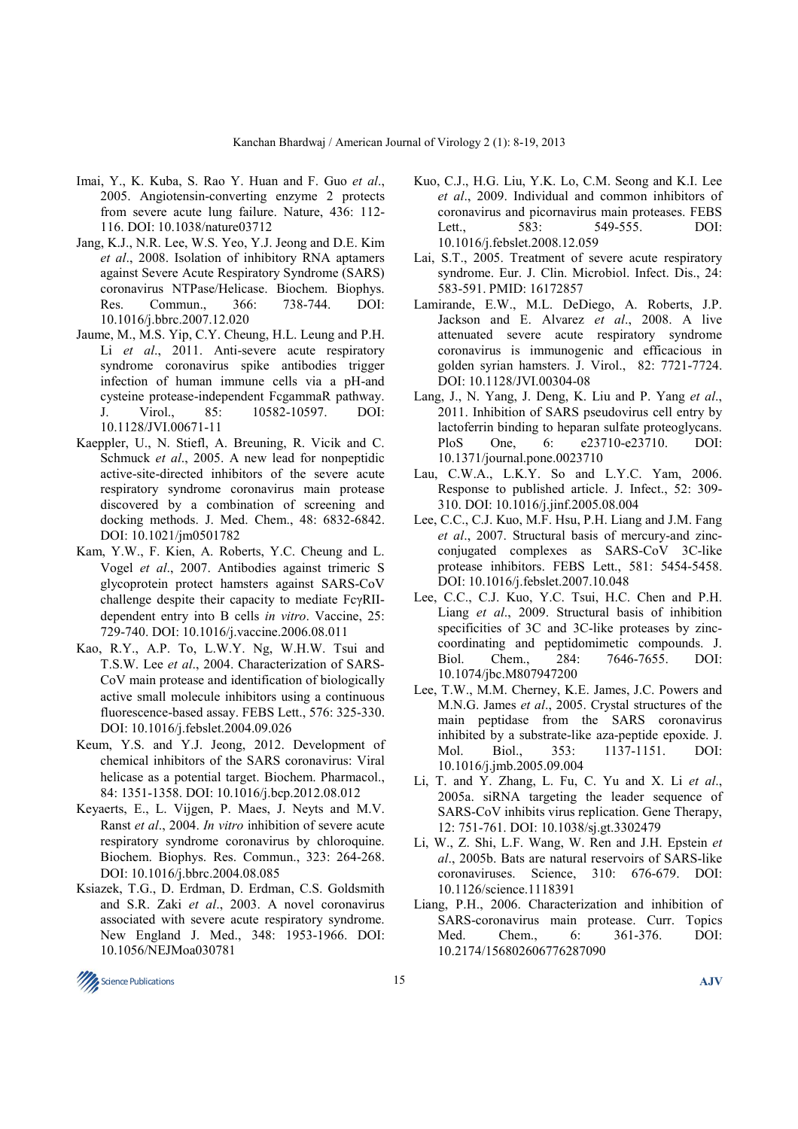- Imai, Y., K. Kuba, S. Rao Y. Huan and F. Guo *et al*., 2005. Angiotensin-converting enzyme 2 protects from severe acute lung failure. Nature, 436: 112- 116. DOI: 10.1038/nature03712
- Jang, K.J., N.R. Lee, W.S. Yeo, Y.J. Jeong and D.E. Kim *et al*., 2008. Isolation of inhibitory RNA aptamers against Severe Acute Respiratory Syndrome (SARS) coronavirus NTPase/Helicase. Biochem. Biophys. Res. Commun., 366: 738-744. DOI: 10.1016/j.bbrc.2007.12.020
- Jaume, M., M.S. Yip, C.Y. Cheung, H.L. Leung and P.H. Li *et al.*, 2011. Anti-severe acute respiratory syndrome coronavirus spike antibodies trigger infection of human immune cells via a pH-and cysteine protease-independent FcgammaR pathway. J. Virol., 85: 10582-10597. DOI: 10.1128/JVI.00671-11
- Kaeppler, U., N. Stiefl, A. Breuning, R. Vicik and C. Schmuck *et al*., 2005. A new lead for nonpeptidic active-site-directed inhibitors of the severe acute respiratory syndrome coronavirus main protease discovered by a combination of screening and docking methods. J. Med. Chem., 48: 6832-6842. DOI: 10.1021/jm0501782
- Kam, Y.W., F. Kien, A. Roberts, Y.C. Cheung and L. Vogel *et al*., 2007. Antibodies against trimeric S glycoprotein protect hamsters against SARS-CoV challenge despite their capacity to mediate FcγRIIdependent entry into B cells *in vitro*. Vaccine, 25: 729-740. DOI: 10.1016/j.vaccine.2006.08.011
- Kao, R.Y., A.P. To, L.W.Y. Ng, W.H.W. Tsui and T.S.W. Lee *et al*., 2004. Characterization of SARS-CoV main protease and identification of biologically active small molecule inhibitors using a continuous fluorescence-based assay. FEBS Lett., 576: 325-330. DOI: 10.1016/j.febslet.2004.09.026
- Keum, Y.S. and Y.J. Jeong, 2012. Development of chemical inhibitors of the SARS coronavirus: Viral helicase as a potential target. Biochem. Pharmacol., 84: 1351-1358. DOI: 10.1016/j.bcp.2012.08.012
- Keyaerts, E., L. Vijgen, P. Maes, J. Neyts and M.V. Ranst *et al*., 2004. *In vitro* inhibition of severe acute respiratory syndrome coronavirus by chloroquine. Biochem. Biophys. Res. Commun., 323: 264-268. DOI: 10.1016/j.bbrc.2004.08.085
- Ksiazek, T.G., D. Erdman, D. Erdman, C.S. Goldsmith and S.R. Zaki *et al*., 2003. A novel coronavirus associated with severe acute respiratory syndrome. New England J. Med., 348: 1953-1966. DOI: 10.1056/NEJMoa030781
- Kuo, C.J., H.G. Liu, Y.K. Lo, C.M. Seong and K.I. Lee *et al*., 2009. Individual and common inhibitors of coronavirus and picornavirus main proteases. FEBS Lett.. 583: 549-555. DOI: 10.1016/j.febslet.2008.12.059
- Lai, S.T., 2005. Treatment of severe acute respiratory syndrome. Eur. J. Clin. Microbiol. Infect. Dis., 24: 583-591. PMID: 16172857
- Lamirande, E.W., M.L. DeDiego, A. Roberts, J.P. Jackson and E. Alvarez *et al*., 2008. A live attenuated severe acute respiratory syndrome coronavirus is immunogenic and efficacious in golden syrian hamsters. J. Virol., 82: 7721-7724. DOI: 10.1128/JVI.00304-08
- Lang, J., N. Yang, J. Deng, K. Liu and P. Yang *et al*., 2011. Inhibition of SARS pseudovirus cell entry by lactoferrin binding to heparan sulfate proteoglycans. PloS One, 6: e23710-e23710. DOI: 10.1371/journal.pone.0023710
- Lau, C.W.A., L.K.Y. So and L.Y.C. Yam, 2006. Response to published article. J. Infect., 52: 309- 310. DOI: 10.1016/j.jinf.2005.08.004
- Lee, C.C., C.J. Kuo, M.F. Hsu, P.H. Liang and J.M. Fang *et al*., 2007. Structural basis of mercury-and zincconjugated complexes as SARS-CoV 3C-like protease inhibitors. FEBS Lett., 581: 5454-5458. DOI: 10.1016/j.febslet.2007.10.048
- Lee, C.C., C.J. Kuo, Y.C. Tsui, H.C. Chen and P.H. Liang *et al*., 2009. Structural basis of inhibition specificities of 3C and 3C-like proteases by zinccoordinating and peptidomimetic compounds. J. Biol. Chem., 284: 7646-7655. DOI: 10.1074/jbc.M807947200
- Lee, T.W., M.M. Cherney, K.E. James, J.C. Powers and M.N.G. James *et al*., 2005. Crystal structures of the main peptidase from the SARS coronavirus inhibited by a substrate-like aza-peptide epoxide. J. Mol. Biol., 353: 1137-1151. DOI: 10.1016/j.jmb.2005.09.004
- Li, T. and Y. Zhang, L. Fu, C. Yu and X. Li *et al*., 2005a. siRNA targeting the leader sequence of SARS-CoV inhibits virus replication. Gene Therapy, 12: 751-761. DOI: 10.1038/sj.gt.3302479
- Li, W., Z. Shi, L.F. Wang, W. Ren and J.H. Epstein *et al*., 2005b. Bats are natural reservoirs of SARS-like coronaviruses. Science, 310: 676-679. DOI: 10.1126/science.1118391
- Liang, P.H., 2006. Characterization and inhibition of SARS-coronavirus main protease. Curr. Topics Med. Chem., 6: 361-376. DOI: 10.2174/156802606776287090

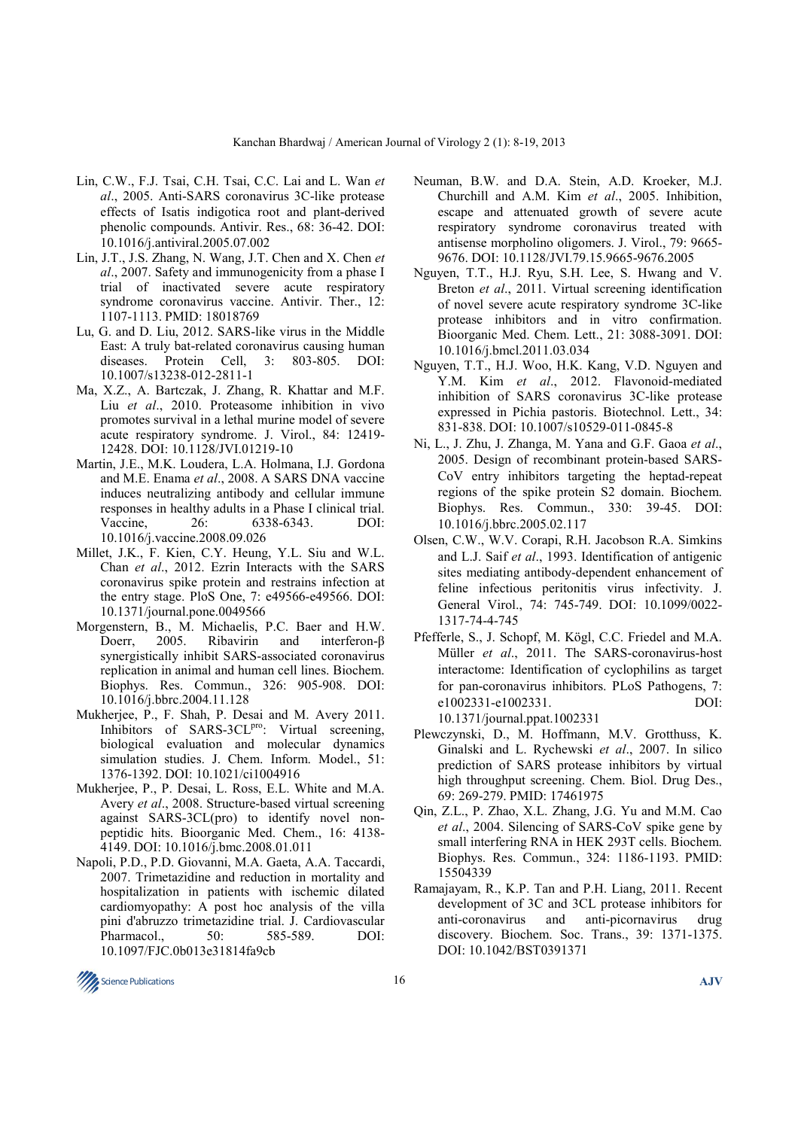- Lin, C.W., F.J. Tsai, C.H. Tsai, C.C. Lai and L. Wan *et al*., 2005. Anti-SARS coronavirus 3C-like protease effects of Isatis indigotica root and plant-derived phenolic compounds. Antivir. Res., 68: 36-42. DOI: 10.1016/j.antiviral.2005.07.002
- Lin, J.T., J.S. Zhang, N. Wang, J.T. Chen and X. Chen *et al*., 2007. Safety and immunogenicity from a phase I trial of inactivated severe acute respiratory syndrome coronavirus vaccine. Antivir. Ther., 12: 1107-1113. PMID: 18018769
- Lu, G. and D. Liu, 2012. SARS-like virus in the Middle East: A truly bat-related coronavirus causing human diseases. Protein Cell, 3: 803-805. DOI: 10.1007/s13238-012-2811-1
- Ma, X.Z., A. Bartczak, J. Zhang, R. Khattar and M.F. Liu *et al*., 2010. Proteasome inhibition in vivo promotes survival in a lethal murine model of severe acute respiratory syndrome. J. Virol., 84: 12419- 12428. DOI: 10.1128/JVI.01219-10
- Martin, J.E., M.K. Loudera, L.A. Holmana, I.J. Gordona and M.E. Enama *et al*., 2008. A SARS DNA vaccine induces neutralizing antibody and cellular immune responses in healthy adults in a Phase I clinical trial. Vaccine, 26: 6338-6343. DOI: 10.1016/j.vaccine.2008.09.026
- Millet, J.K., F. Kien, C.Y. Heung, Y.L. Siu and W.L. Chan *et al*., 2012. Ezrin Interacts with the SARS coronavirus spike protein and restrains infection at the entry stage. PloS One, 7: e49566-e49566. DOI: 10.1371/journal.pone.0049566
- Morgenstern, B., M. Michaelis, P.C. Baer and H.W. Doerr, 2005. Ribavirin and interferon-β synergistically inhibit SARS-associated coronavirus replication in animal and human cell lines. Biochem. Biophys. Res. Commun., 326: 905-908. DOI: 10.1016/j.bbrc.2004.11.128
- Mukherjee, P., F. Shah, P. Desai and M. Avery 2011. Inhibitors of SARS-3CL<sup>pro</sup>: Virtual screening, biological evaluation and molecular dynamics simulation studies. J. Chem. Inform. Model., 51: 1376-1392. DOI: 10.1021/ci1004916
- Mukherjee, P., P. Desai, L. Ross, E.L. White and M.A. Avery *et al*., 2008. Structure-based virtual screening against SARS-3CL(pro) to identify novel nonpeptidic hits. Bioorganic Med. Chem., 16: 4138- 4149. DOI: 10.1016/j.bmc.2008.01.011
- Napoli, P.D., P.D. Giovanni, M.A. Gaeta, A.A. Taccardi, 2007. Trimetazidine and reduction in mortality and hospitalization in patients with ischemic dilated cardiomyopathy: A post hoc analysis of the villa pini d'abruzzo trimetazidine trial. J. Cardiovascular Pharmacol.. 50: 585-589. DOI: 10.1097/FJC.0b013e31814fa9cb
- Neuman, B.W. and D.A. Stein, A.D. Kroeker, M.J. Churchill and A.M. Kim *et al*., 2005. Inhibition, escape and attenuated growth of severe acute respiratory syndrome coronavirus treated with antisense morpholino oligomers. J. Virol., 79: 9665- 9676. DOI: 10.1128/JVI.79.15.9665-9676.2005
- Nguyen, T.T., H.J. Ryu, S.H. Lee, S. Hwang and V. Breton *et al*., 2011. Virtual screening identification of novel severe acute respiratory syndrome 3C-like protease inhibitors and in vitro confirmation. Bioorganic Med. Chem. Lett., 21: 3088-3091. DOI: 10.1016/j.bmcl.2011.03.034
- Nguyen, T.T., H.J. Woo, H.K. Kang, V.D. Nguyen and Y.M. Kim *et al*., 2012. Flavonoid-mediated inhibition of SARS coronavirus 3C-like protease expressed in Pichia pastoris. Biotechnol. Lett., 34: 831-838. DOI: 10.1007/s10529-011-0845-8
- Ni, L., J. Zhu, J. Zhanga, M. Yana and G.F. Gaoa *et al*., 2005. Design of recombinant protein-based SARS-CoV entry inhibitors targeting the heptad-repeat regions of the spike protein S2 domain. Biochem. Biophys. Res. Commun., 330: 39-45. DOI: 10.1016/j.bbrc.2005.02.117
- Olsen, C.W., W.V. Corapi, R.H. Jacobson R.A. Simkins and L.J. Saif *et al*., 1993. Identification of antigenic sites mediating antibody-dependent enhancement of feline infectious peritonitis virus infectivity. J. General Virol., 74: 745-749. DOI: 10.1099/0022- 1317-74-4-745
- Pfefferle, S., J. Schopf, M. Kögl, C.C. Friedel and M.A. Müller *et al*., 2011. The SARS-coronavirus-host interactome: Identification of cyclophilins as target for pan-coronavirus inhibitors. PLoS Pathogens, 7: e1002331-e1002331. DOI: 10.1371/journal.ppat.1002331
- Plewczynski, D., M. Hoffmann, M.V. Grotthuss, K. Ginalski and L. Rychewski *et al*., 2007. In silico prediction of SARS protease inhibitors by virtual high throughput screening. Chem. Biol. Drug Des., 69: 269-279. PMID: 17461975
- Qin, Z.L., P. Zhao, X.L. Zhang, J.G. Yu and M.M. Cao *et al*., 2004. Silencing of SARS-CoV spike gene by small interfering RNA in HEK 293T cells. Biochem. Biophys. Res. Commun., 324: 1186-1193. PMID: 15504339
- Ramajayam, R., K.P. Tan and P.H. Liang, 2011. Recent development of 3C and 3CL protease inhibitors for anti-coronavirus and anti-picornavirus drug discovery. Biochem. Soc. Trans., 39: 1371-1375. DOI: 10.1042/BST0391371

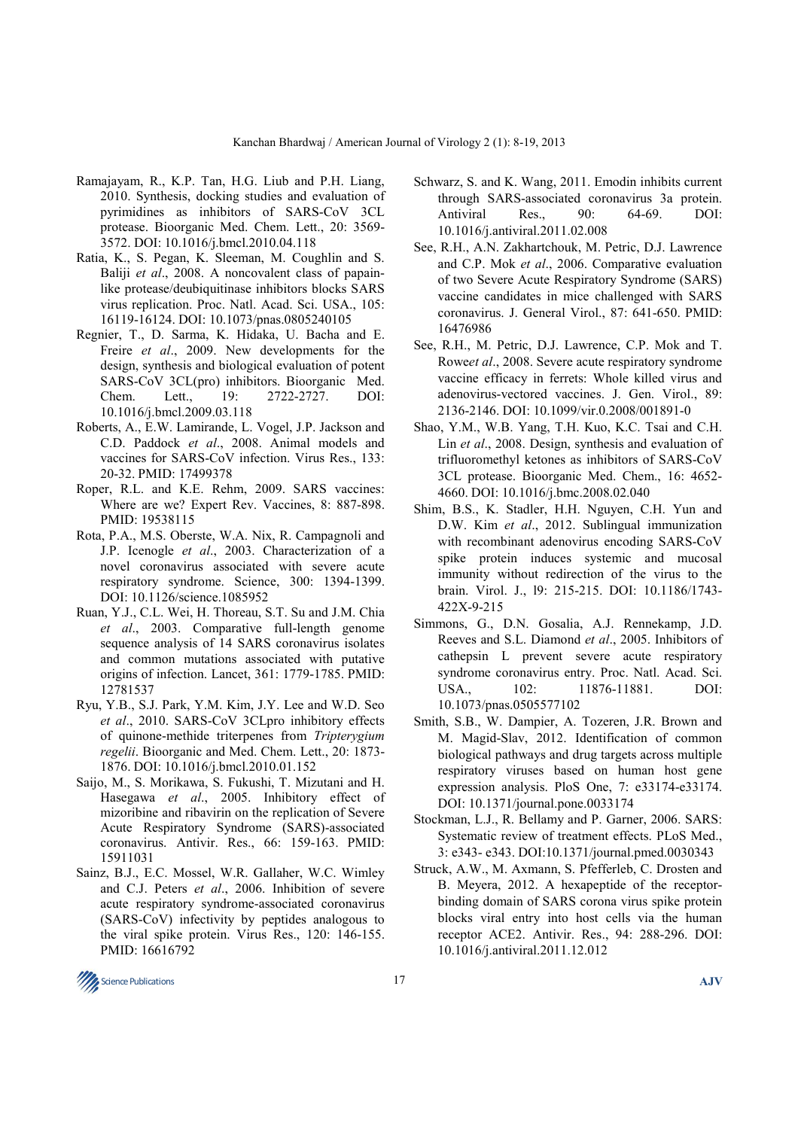- Ramajayam, R., K.P. Tan, H.G. Liub and P.H. Liang, 2010. Synthesis, docking studies and evaluation of pyrimidines as inhibitors of SARS-CoV 3CL protease. Bioorganic Med. Chem. Lett., 20: 3569- 3572. DOI: 10.1016/j.bmcl.2010.04.118
- Ratia, K., S. Pegan, K. Sleeman, M. Coughlin and S. Baliji *et al*., 2008. A noncovalent class of papainlike protease/deubiquitinase inhibitors blocks SARS virus replication. Proc. Natl. Acad. Sci. USA., 105: 16119-16124. DOI: 10.1073/pnas.0805240105
- Regnier, T., D. Sarma, K. Hidaka, U. Bacha and E. Freire *et al*., 2009. New developments for the design, synthesis and biological evaluation of potent SARS-CoV 3CL(pro) inhibitors. Bioorganic Med. Chem. Lett., 19: 2722-2727. DOI: 10.1016/j.bmcl.2009.03.118
- Roberts, A., E.W. Lamirande, L. Vogel, J.P. Jackson and C.D. Paddock *et al*., 2008. Animal models and vaccines for SARS-CoV infection. Virus Res., 133: 20-32. PMID: 17499378
- Roper, R.L. and K.E. Rehm, 2009. SARS vaccines: Where are we? Expert Rev. Vaccines, 8: 887-898. PMID: 19538115
- Rota, P.A., M.S. Oberste, W.A. Nix, R. Campagnoli and J.P. Icenogle *et al*., 2003. Characterization of a novel coronavirus associated with severe acute respiratory syndrome. Science, 300: 1394-1399. DOI: 10.1126/science.1085952
- Ruan, Y.J., C.L. Wei, H. Thoreau, S.T. Su and J.M. Chia *et al*., 2003. Comparative full-length genome sequence analysis of 14 SARS coronavirus isolates and common mutations associated with putative origins of infection. Lancet, 361: 1779-1785. PMID: 12781537
- Ryu, Y.B., S.J. Park, Y.M. Kim, J.Y. Lee and W.D. Seo *et al*., 2010. SARS-CoV 3CLpro inhibitory effects of quinone-methide triterpenes from *Tripterygium regelii*. Bioorganic and Med. Chem. Lett., 20: 1873- 1876. DOI: 10.1016/j.bmcl.2010.01.152
- Saijo, M., S. Morikawa, S. Fukushi, T. Mizutani and H. Hasegawa *et al*., 2005. Inhibitory effect of mizoribine and ribavirin on the replication of Severe Acute Respiratory Syndrome (SARS)-associated coronavirus. Antivir. Res., 66: 159-163. PMID: 15911031
- Sainz, B.J., E.C. Mossel, W.R. Gallaher, W.C. Wimley and C.J. Peters *et al*., 2006. Inhibition of severe acute respiratory syndrome-associated coronavirus (SARS-CoV) infectivity by peptides analogous to the viral spike protein. Virus Res., 120: 146-155. PMID: 16616792
- Schwarz, S. and K. Wang, 2011. Emodin inhibits current through SARS-associated coronavirus 3a protein. Antiviral Res., 90: 64-69. DOI: 10.1016/j.antiviral.2011.02.008
- See, R.H., A.N. Zakhartchouk, M. Petric, D.J. Lawrence and C.P. Mok *et al*., 2006. Comparative evaluation of two Severe Acute Respiratory Syndrome (SARS) vaccine candidates in mice challenged with SARS coronavirus. J. General Virol., 87: 641-650. PMID: 16476986
- See, R.H., M. Petric, D.J. Lawrence, C.P. Mok and T. Rowe*et al*., 2008. Severe acute respiratory syndrome vaccine efficacy in ferrets: Whole killed virus and adenovirus-vectored vaccines. J. Gen. Virol., 89: 2136-2146. DOI: 10.1099/vir.0.2008/001891-0
- Shao, Y.M., W.B. Yang, T.H. Kuo, K.C. Tsai and C.H. Lin *et al*., 2008. Design, synthesis and evaluation of trifluoromethyl ketones as inhibitors of SARS-CoV 3CL protease. Bioorganic Med. Chem., 16: 4652- 4660. DOI: 10.1016/j.bmc.2008.02.040
- Shim, B.S., K. Stadler, H.H. Nguyen, C.H. Yun and D.W. Kim *et al*., 2012. Sublingual immunization with recombinant adenovirus encoding SARS-CoV spike protein induces systemic and mucosal immunity without redirection of the virus to the brain. Virol. J., l9: 215-215. DOI: 10.1186/1743- 422X-9-215
- Simmons, G., D.N. Gosalia, A.J. Rennekamp, J.D. Reeves and S.L. Diamond *et al*., 2005. Inhibitors of cathepsin L prevent severe acute respiratory syndrome coronavirus entry. Proc. Natl. Acad. Sci. USA., 102: 11876-11881. DOI: 10.1073/pnas.0505577102
- Smith, S.B., W. Dampier, A. Tozeren, J.R. Brown and M. Magid-Slav, 2012. Identification of common biological pathways and drug targets across multiple respiratory viruses based on human host gene expression analysis. PloS One, 7: e33174-e33174. DOI: 10.1371/journal.pone.0033174
- Stockman, L.J., R. Bellamy and P. Garner, 2006. SARS: Systematic review of treatment effects. PLoS Med., 3: e343- e343. DOI:10.1371/journal.pmed.0030343
- Struck, A.W., M. Axmann, S. Pfefferleb, C. Drosten and B. Meyera, 2012. A hexapeptide of the receptorbinding domain of SARS corona virus spike protein blocks viral entry into host cells via the human receptor ACE2. Antivir. Res., 94: 288-296. DOI: 10.1016/j.antiviral.2011.12.012

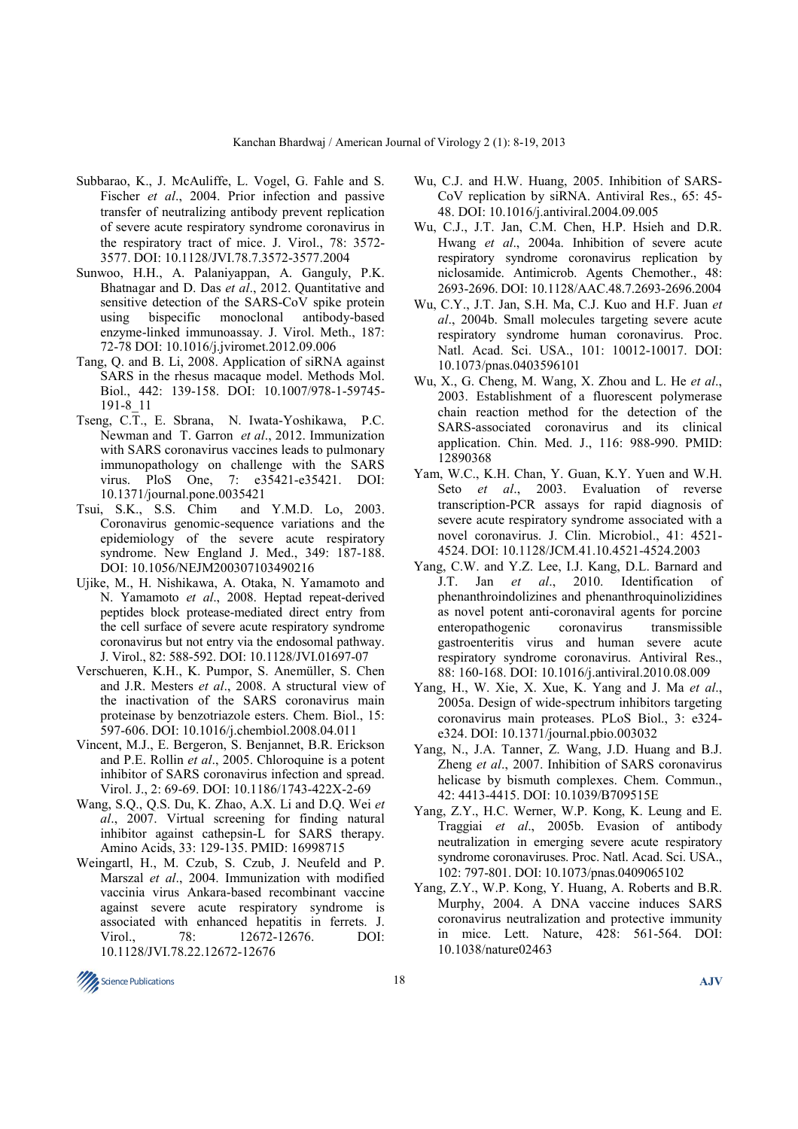- Subbarao, K., J. McAuliffe, L. Vogel, G. Fahle and S. Fischer *et al*., 2004. Prior infection and passive transfer of neutralizing antibody prevent replication of severe acute respiratory syndrome coronavirus in the respiratory tract of mice. J. Virol., 78: 3572- 3577. DOI: 10.1128/JVI.78.7.3572-3577.2004
- Sunwoo, H.H., A. Palaniyappan, A. Ganguly, P.K. Bhatnagar and D. Das *et al*., 2012. Quantitative and sensitive detection of the SARS-CoV spike protein using bispecific monoclonal antibody-based enzyme-linked immunoassay. J. Virol. Meth., 187: 72-78 DOI: 10.1016/j.jviromet.2012.09.006
- Tang, Q. and B. Li, 2008. Application of siRNA against SARS in the rhesus macaque model. Methods Mol. Biol., 442: 139-158. DOI: 10.1007/978-1-59745- 191-8\_11
- Tseng, C.T., E. Sbrana, N. Iwata-Yoshikawa, P.C. Newman and T. Garron *et al*., 2012. Immunization with SARS coronavirus vaccines leads to pulmonary immunopathology on challenge with the SARS virus. PloS One, 7: e35421-e35421. DOI: 10.1371/journal.pone.0035421
- Tsui, S.K., S.S. Chim and Y.M.D. Lo, 2003. Coronavirus genomic-sequence variations and the epidemiology of the severe acute respiratory syndrome. New England J. Med., 349: 187-188. DOI: 10.1056/NEJM200307103490216
- Ujike, M., H. Nishikawa, A. Otaka, N. Yamamoto and N. Yamamoto *et al*., 2008. Heptad repeat-derived peptides block protease-mediated direct entry from the cell surface of severe acute respiratory syndrome coronavirus but not entry via the endosomal pathway. J. Virol., 82: 588-592. DOI: 10.1128/JVI.01697-07
- Verschueren, K.H., K. Pumpor, S. Anemüller, S. Chen and J.R. Mesters *et al*., 2008. A structural view of the inactivation of the SARS coronavirus main proteinase by benzotriazole esters. Chem. Biol., 15: 597-606. DOI: 10.1016/j.chembiol.2008.04.011
- Vincent, M.J., E. Bergeron, S. Benjannet, B.R. Erickson and P.E. Rollin *et al*., 2005. Chloroquine is a potent inhibitor of SARS coronavirus infection and spread. Virol. J., 2: 69-69. DOI: 10.1186/1743-422X-2-69
- Wang, S.Q., Q.S. Du, K. Zhao, A.X. Li and D.Q. Wei *et al*., 2007. Virtual screening for finding natural inhibitor against cathepsin-L for SARS therapy. Amino Acids, 33: 129-135. PMID: 16998715
- Weingartl, H., M. Czub, S. Czub, J. Neufeld and P. Marszal *et al*., 2004. Immunization with modified vaccinia virus Ankara-based recombinant vaccine against severe acute respiratory syndrome is associated with enhanced hepatitis in ferrets. J. Virol., 78: 12672-12676. DOI: 10.1128/JVI.78.22.12672-12676
- Wu, C.J. and H.W. Huang, 2005. Inhibition of SARS-CoV replication by siRNA. Antiviral Res., 65: 45- 48. DOI: 10.1016/j.antiviral.2004.09.005
- Wu, C.J., J.T. Jan, C.M. Chen, H.P. Hsieh and D.R. Hwang *et al*., 2004a. Inhibition of severe acute respiratory syndrome coronavirus replication by niclosamide. Antimicrob. Agents Chemother., 48: 2693-2696. DOI: 10.1128/AAC.48.7.2693-2696.2004
- Wu, C.Y., J.T. Jan, S.H. Ma, C.J. Kuo and H.F. Juan *et al*., 2004b. Small molecules targeting severe acute respiratory syndrome human coronavirus. Proc. Natl. Acad. Sci. USA., 101: 10012-10017. DOI: 10.1073/pnas.0403596101
- Wu, X., G. Cheng, M. Wang, X. Zhou and L. He *et al*., 2003. Establishment of a fluorescent polymerase chain reaction method for the detection of the SARS-associated coronavirus and its clinical application. Chin. Med. J., 116: 988-990. PMID: 12890368
- Yam, W.C., K.H. Chan, Y. Guan, K.Y. Yuen and W.H. Seto *et al*., 2003. Evaluation of reverse transcription-PCR assays for rapid diagnosis of severe acute respiratory syndrome associated with a novel coronavirus. J. Clin. Microbiol., 41: 4521- 4524. DOI: 10.1128/JCM.41.10.4521-4524.2003
- Yang, C.W. and Y.Z. Lee, I.J. Kang, D.L. Barnard and J.T. Jan *et al*., 2010. Identification of phenanthroindolizines and phenanthroquinolizidines as novel potent anti-coronaviral agents for porcine enteropathogenic coronavirus transmissible gastroenteritis virus and human severe acute respiratory syndrome coronavirus. Antiviral Res., 88: 160-168. DOI: 10.1016/j.antiviral.2010.08.009
- Yang, H., W. Xie, X. Xue, K. Yang and J. Ma *et al*., 2005a. Design of wide-spectrum inhibitors targeting coronavirus main proteases. PLoS Biol., 3: e324 e324. DOI: 10.1371/journal.pbio.003032
- Yang, N., J.A. Tanner, Z. Wang, J.D. Huang and B.J. Zheng *et al*., 2007. Inhibition of SARS coronavirus helicase by bismuth complexes. Chem. Commun., 42: 4413-4415. DOI: 10.1039/B709515E
- Yang, Z.Y., H.C. Werner, W.P. Kong, K. Leung and E. Traggiai *et al*., 2005b. Evasion of antibody neutralization in emerging severe acute respiratory syndrome coronaviruses. Proc. Natl. Acad. Sci. USA., 102: 797-801. DOI: 10.1073/pnas.0409065102
- Yang, Z.Y., W.P. Kong, Y. Huang, A. Roberts and B.R. Murphy, 2004. A DNA vaccine induces SARS coronavirus neutralization and protective immunity in mice. Lett. Nature, 428: 561-564. DOI: 10.1038/nature02463